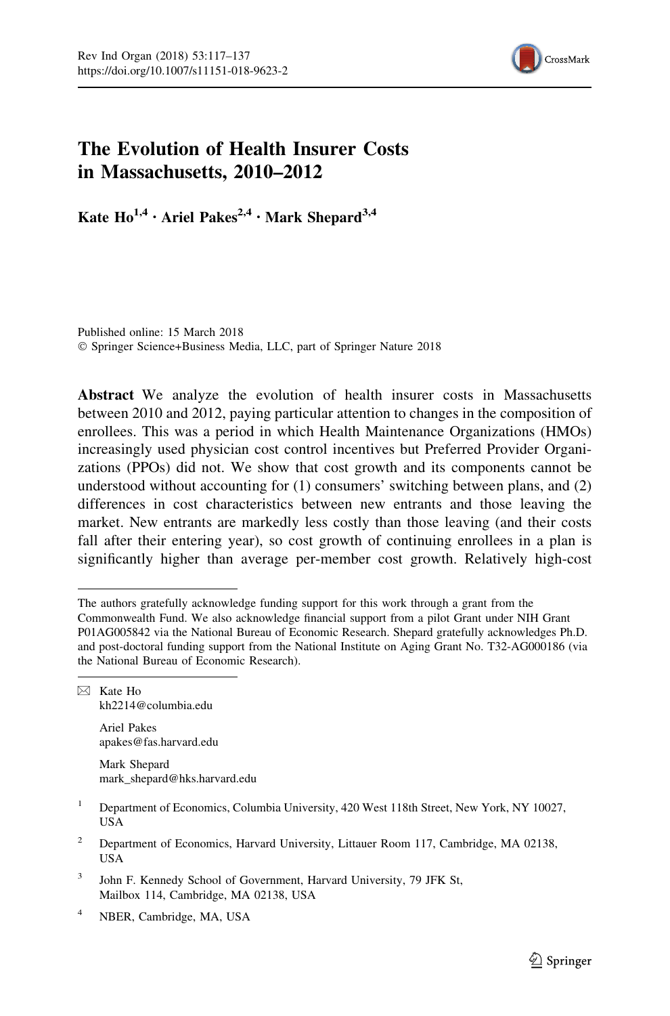

# The Evolution of Health Insurer Costs in Massachusetts, 2010–2012

Kate  $Ho^{1,4} \cdot$  Ariel Pakes<sup>2,4</sup> • Mark Shepard<sup>3,4</sup>

Published online: 15 March 2018 © Springer Science+Business Media, LLC, part of Springer Nature 2018

Abstract We analyze the evolution of health insurer costs in Massachusetts between 2010 and 2012, paying particular attention to changes in the composition of enrollees. This was a period in which Health Maintenance Organizations (HMOs) increasingly used physician cost control incentives but Preferred Provider Organizations (PPOs) did not. We show that cost growth and its components cannot be understood without accounting for (1) consumers' switching between plans, and (2) differences in cost characteristics between new entrants and those leaving the market. New entrants are markedly less costly than those leaving (and their costs fall after their entering year), so cost growth of continuing enrollees in a plan is significantly higher than average per-member cost growth. Relatively high-cost

The authors gratefully acknowledge funding support for this work through a grant from the Commonwealth Fund. We also acknowledge financial support from a pilot Grant under NIH Grant P01AG005842 via the National Bureau of Economic Research. Shepard gratefully acknowledges Ph.D. and post-doctoral funding support from the National Institute on Aging Grant No. T32-AG000186 (via the National Bureau of Economic Research).

 $\boxtimes$  Kate Ho kh2214@columbia.edu Ariel Pakes

apakes@fas.harvard.edu

Mark Shepard mark\_shepard@hks.harvard.edu

- <sup>3</sup> John F. Kennedy School of Government, Harvard University, 79 JFK St, Mailbox 114, Cambridge, MA 02138, USA
- <sup>4</sup> NBER, Cambridge, MA, USA

<sup>&</sup>lt;sup>1</sup> Department of Economics, Columbia University, 420 West 118th Street, New York, NY 10027, USA

<sup>&</sup>lt;sup>2</sup> Department of Economics, Harvard University, Littauer Room 117, Cambridge, MA 02138, USA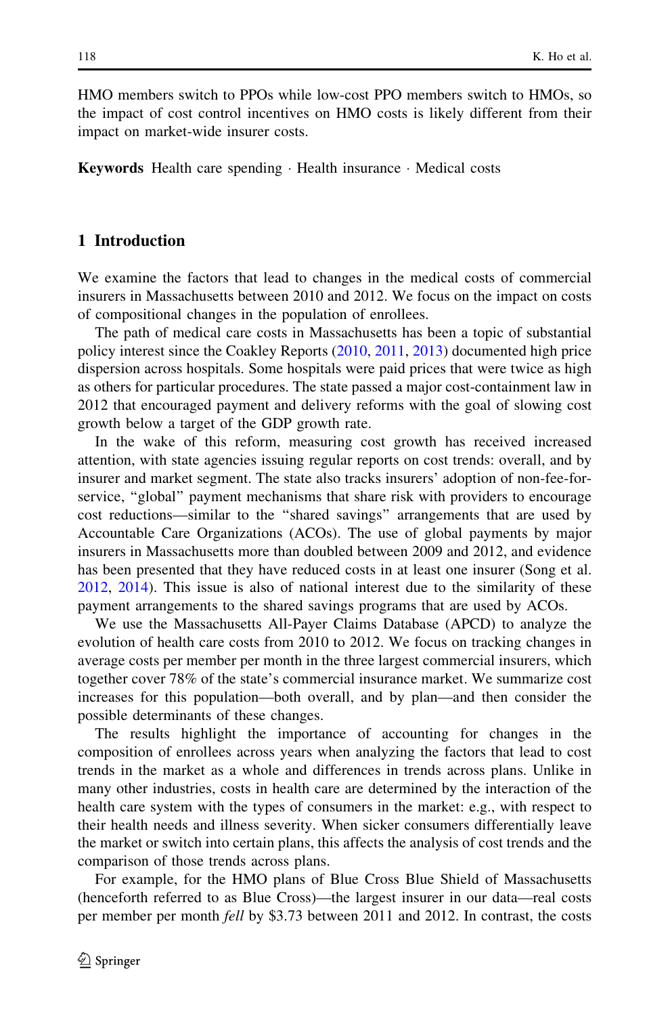HMO members switch to PPOs while low-cost PPO members switch to HMOs, so the impact of cost control incentives on HMO costs is likely different from their impact on market-wide insurer costs.

Keywords Health care spending - Health insurance - Medical costs

# 1 Introduction

We examine the factors that lead to changes in the medical costs of commercial insurers in Massachusetts between 2010 and 2012. We focus on the impact on costs of compositional changes in the population of enrollees.

The path of medical care costs in Massachusetts has been a topic of substantial policy interest since the Coakley Reports [\(2010](#page-20-0), [2011,](#page-20-0) [2013\)](#page-20-0) documented high price dispersion across hospitals. Some hospitals were paid prices that were twice as high as others for particular procedures. The state passed a major cost-containment law in 2012 that encouraged payment and delivery reforms with the goal of slowing cost growth below a target of the GDP growth rate.

In the wake of this reform, measuring cost growth has received increased attention, with state agencies issuing regular reports on cost trends: overall, and by insurer and market segment. The state also tracks insurers' adoption of non-fee-forservice, "global" payment mechanisms that share risk with providers to encourage cost reductions—similar to the ''shared savings'' arrangements that are used by Accountable Care Organizations (ACOs). The use of global payments by major insurers in Massachusetts more than doubled between 2009 and 2012, and evidence has been presented that they have reduced costs in at least one insurer (Song et al. [2012,](#page-20-0) [2014](#page-20-0)). This issue is also of national interest due to the similarity of these payment arrangements to the shared savings programs that are used by ACOs.

We use the Massachusetts All-Payer Claims Database (APCD) to analyze the evolution of health care costs from 2010 to 2012. We focus on tracking changes in average costs per member per month in the three largest commercial insurers, which together cover 78% of the state's commercial insurance market. We summarize cost increases for this population—both overall, and by plan—and then consider the possible determinants of these changes.

The results highlight the importance of accounting for changes in the composition of enrollees across years when analyzing the factors that lead to cost trends in the market as a whole and differences in trends across plans. Unlike in many other industries, costs in health care are determined by the interaction of the health care system with the types of consumers in the market: e.g., with respect to their health needs and illness severity. When sicker consumers differentially leave the market or switch into certain plans, this affects the analysis of cost trends and the comparison of those trends across plans.

For example, for the HMO plans of Blue Cross Blue Shield of Massachusetts (henceforth referred to as Blue Cross)—the largest insurer in our data—real costs per member per month fell by \$3.73 between 2011 and 2012. In contrast, the costs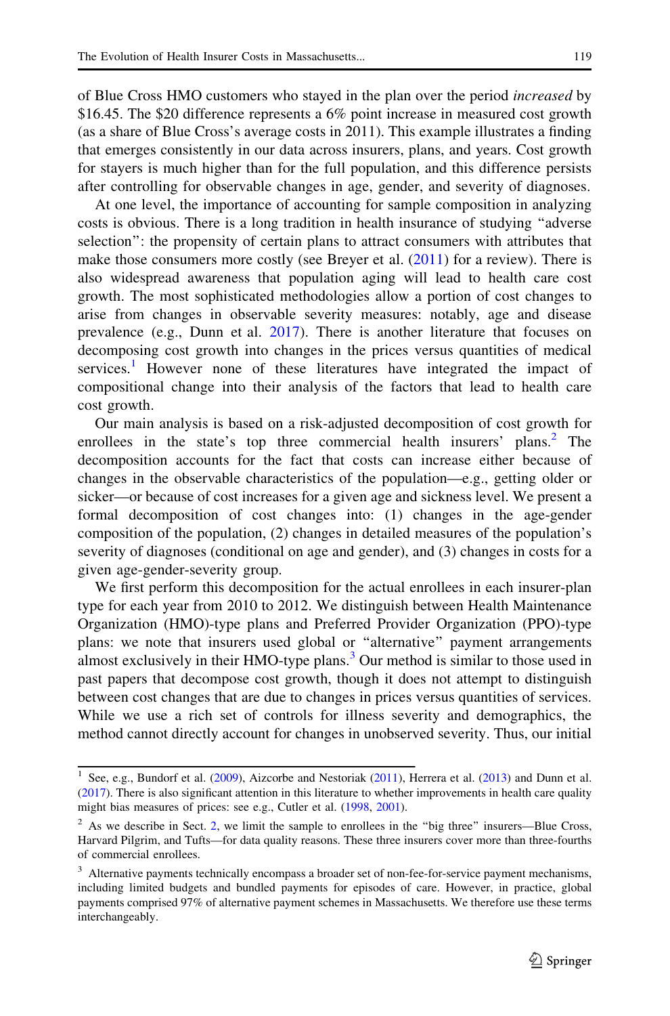of Blue Cross HMO customers who stayed in the plan over the period increased by \$16.45. The \$20 difference represents a 6% point increase in measured cost growth (as a share of Blue Cross's average costs in 2011). This example illustrates a finding that emerges consistently in our data across insurers, plans, and years. Cost growth for stayers is much higher than for the full population, and this difference persists after controlling for observable changes in age, gender, and severity of diagnoses.

At one level, the importance of accounting for sample composition in analyzing costs is obvious. There is a long tradition in health insurance of studying ''adverse selection'': the propensity of certain plans to attract consumers with attributes that make those consumers more costly (see Breyer et al. [\(2011](#page-20-0)) for a review). There is also widespread awareness that population aging will lead to health care cost growth. The most sophisticated methodologies allow a portion of cost changes to arise from changes in observable severity measures: notably, age and disease prevalence (e.g., Dunn et al. [2017\)](#page-20-0). There is another literature that focuses on decomposing cost growth into changes in the prices versus quantities of medical services.<sup>1</sup> However none of these literatures have integrated the impact of compositional change into their analysis of the factors that lead to health care cost growth.

Our main analysis is based on a risk-adjusted decomposition of cost growth for enrollees in the state's top three commercial health insurers' plans. $<sup>2</sup>$  The</sup> decomposition accounts for the fact that costs can increase either because of changes in the observable characteristics of the population—e.g., getting older or sicker—or because of cost increases for a given age and sickness level. We present a formal decomposition of cost changes into: (1) changes in the age-gender composition of the population, (2) changes in detailed measures of the population's severity of diagnoses (conditional on age and gender), and (3) changes in costs for a given age-gender-severity group.

We first perform this decomposition for the actual enrollees in each insurer-plan type for each year from 2010 to 2012. We distinguish between Health Maintenance Organization (HMO)-type plans and Preferred Provider Organization (PPO)-type plans: we note that insurers used global or ''alternative'' payment arrangements almost exclusively in their HMO-type plans.<sup>3</sup> Our method is similar to those used in past papers that decompose cost growth, though it does not attempt to distinguish between cost changes that are due to changes in prices versus quantities of services. While we use a rich set of controls for illness severity and demographics, the method cannot directly account for changes in unobserved severity. Thus, our initial

<sup>&</sup>lt;sup>1</sup> See, e.g., Bundorf et al. [\(2009](#page-20-0)), Aizcorbe and Nestoriak [\(2011](#page-20-0)), Herrera et al. ([2013\)](#page-20-0) and Dunn et al. ([2017\)](#page-20-0). There is also significant attention in this literature to whether improvements in health care quality might bias measures of prices: see e.g., Cutler et al. [\(1998](#page-20-0), [2001\)](#page-20-0).

 $2$  As we describe in Sect. 2, we limit the sample to enrollees in the "big three" insurers—Blue Cross, Harvard Pilgrim, and Tufts—for data quality reasons. These three insurers cover more than three-fourths of commercial enrollees.

<sup>&</sup>lt;sup>3</sup> Alternative payments technically encompass a broader set of non-fee-for-service payment mechanisms, including limited budgets and bundled payments for episodes of care. However, in practice, global payments comprised 97% of alternative payment schemes in Massachusetts. We therefore use these terms interchangeably.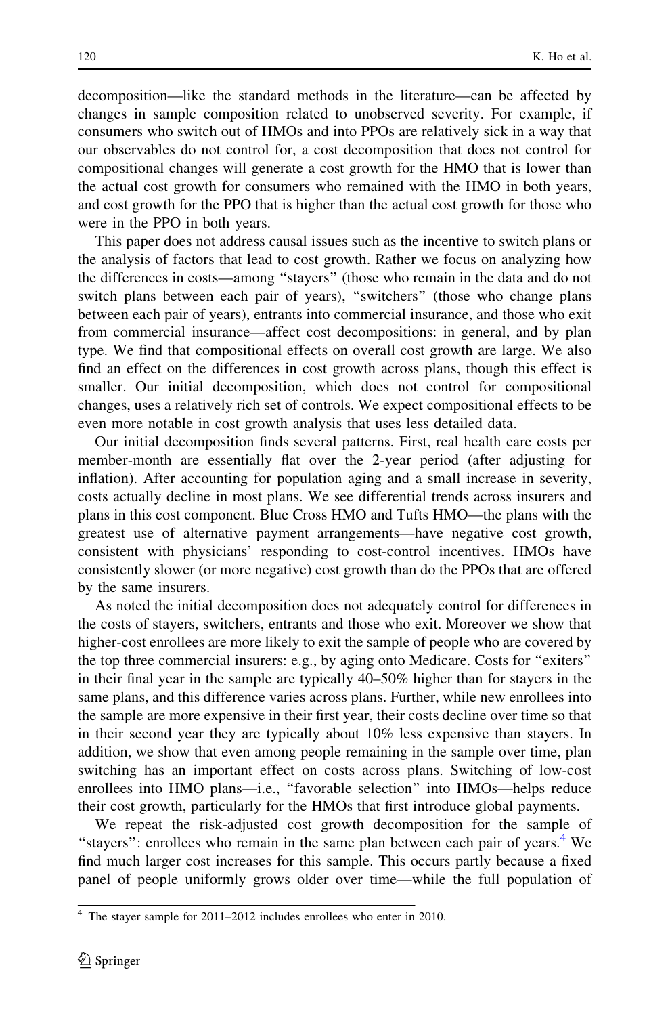decomposition—like the standard methods in the literature—can be affected by changes in sample composition related to unobserved severity. For example, if consumers who switch out of HMOs and into PPOs are relatively sick in a way that our observables do not control for, a cost decomposition that does not control for compositional changes will generate a cost growth for the HMO that is lower than the actual cost growth for consumers who remained with the HMO in both years, and cost growth for the PPO that is higher than the actual cost growth for those who were in the PPO in both years.

This paper does not address causal issues such as the incentive to switch plans or the analysis of factors that lead to cost growth. Rather we focus on analyzing how the differences in costs—among ''stayers'' (those who remain in the data and do not switch plans between each pair of years), ''switchers'' (those who change plans between each pair of years), entrants into commercial insurance, and those who exit from commercial insurance—affect cost decompositions: in general, and by plan type. We find that compositional effects on overall cost growth are large. We also find an effect on the differences in cost growth across plans, though this effect is smaller. Our initial decomposition, which does not control for compositional changes, uses a relatively rich set of controls. We expect compositional effects to be even more notable in cost growth analysis that uses less detailed data.

Our initial decomposition finds several patterns. First, real health care costs per member-month are essentially flat over the 2-year period (after adjusting for inflation). After accounting for population aging and a small increase in severity, costs actually decline in most plans. We see differential trends across insurers and plans in this cost component. Blue Cross HMO and Tufts HMO—the plans with the greatest use of alternative payment arrangements—have negative cost growth, consistent with physicians' responding to cost-control incentives. HMOs have consistently slower (or more negative) cost growth than do the PPOs that are offered by the same insurers.

As noted the initial decomposition does not adequately control for differences in the costs of stayers, switchers, entrants and those who exit. Moreover we show that higher-cost enrollees are more likely to exit the sample of people who are covered by the top three commercial insurers: e.g., by aging onto Medicare. Costs for ''exiters'' in their final year in the sample are typically 40–50% higher than for stayers in the same plans, and this difference varies across plans. Further, while new enrollees into the sample are more expensive in their first year, their costs decline over time so that in their second year they are typically about 10% less expensive than stayers. In addition, we show that even among people remaining in the sample over time, plan switching has an important effect on costs across plans. Switching of low-cost enrollees into HMO plans—i.e., ''favorable selection'' into HMOs—helps reduce their cost growth, particularly for the HMOs that first introduce global payments.

We repeat the risk-adjusted cost growth decomposition for the sample of "stayers": enrollees who remain in the same plan between each pair of years.<sup>4</sup> We find much larger cost increases for this sample. This occurs partly because a fixed panel of people uniformly grows older over time—while the full population of

<sup>&</sup>lt;sup>4</sup> The stayer sample for 2011–2012 includes enrollees who enter in 2010.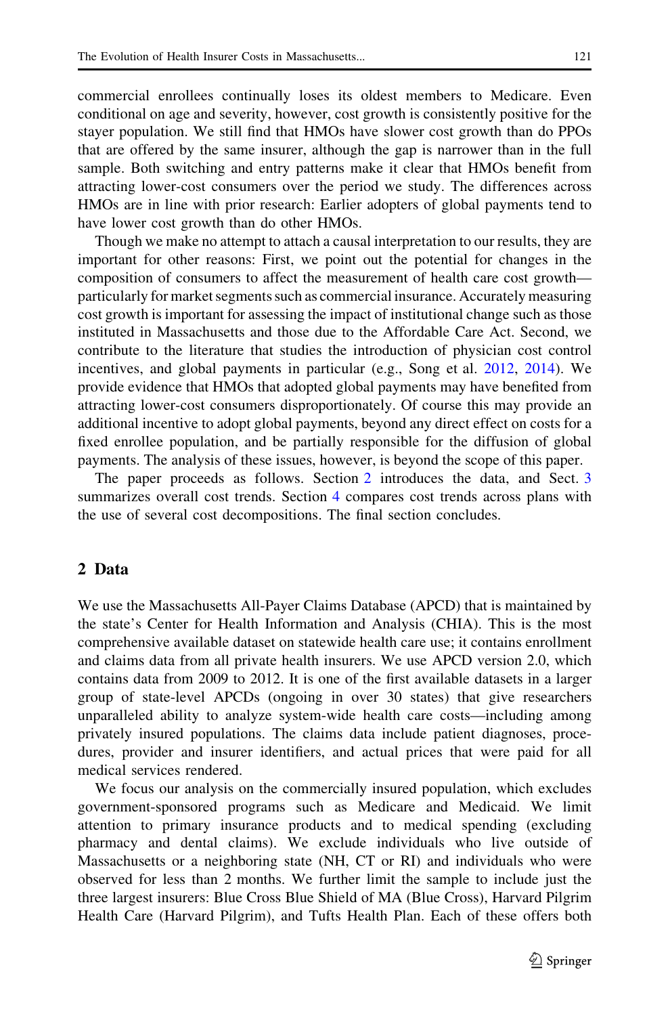<span id="page-4-0"></span>commercial enrollees continually loses its oldest members to Medicare. Even conditional on age and severity, however, cost growth is consistently positive for the stayer population. We still find that HMOs have slower cost growth than do PPOs that are offered by the same insurer, although the gap is narrower than in the full sample. Both switching and entry patterns make it clear that HMOs benefit from attracting lower-cost consumers over the period we study. The differences across HMOs are in line with prior research: Earlier adopters of global payments tend to have lower cost growth than do other HMOs.

Though we make no attempt to attach a causal interpretation to our results, they are important for other reasons: First, we point out the potential for changes in the composition of consumers to affect the measurement of health care cost growth particularly for market segments such as commercial insurance. Accurately measuring cost growth is important for assessing the impact of institutional change such as those instituted in Massachusetts and those due to the Affordable Care Act. Second, we contribute to the literature that studies the introduction of physician cost control incentives, and global payments in particular (e.g., Song et al. [2012,](#page-20-0) [2014](#page-20-0)). We provide evidence that HMOs that adopted global payments may have benefited from attracting lower-cost consumers disproportionately. Of course this may provide an additional incentive to adopt global payments, beyond any direct effect on costs for a fixed enrollee population, and be partially responsible for the diffusion of global payments. The analysis of these issues, however, is beyond the scope of this paper.

The paper proceeds as follows. Section 2 introduces the data, and Sect. [3](#page-6-0) summarizes overall cost trends. Section [4](#page-6-0) compares cost trends across plans with the use of several cost decompositions. The final section concludes.

## 2 Data

We use the Massachusetts All-Payer Claims Database (APCD) that is maintained by the state's Center for Health Information and Analysis (CHIA). This is the most comprehensive available dataset on statewide health care use; it contains enrollment and claims data from all private health insurers. We use APCD version 2.0, which contains data from 2009 to 2012. It is one of the first available datasets in a larger group of state-level APCDs (ongoing in over 30 states) that give researchers unparalleled ability to analyze system-wide health care costs—including among privately insured populations. The claims data include patient diagnoses, procedures, provider and insurer identifiers, and actual prices that were paid for all medical services rendered.

We focus our analysis on the commercially insured population, which excludes government-sponsored programs such as Medicare and Medicaid. We limit attention to primary insurance products and to medical spending (excluding pharmacy and dental claims). We exclude individuals who live outside of Massachusetts or a neighboring state (NH, CT or RI) and individuals who were observed for less than 2 months. We further limit the sample to include just the three largest insurers: Blue Cross Blue Shield of MA (Blue Cross), Harvard Pilgrim Health Care (Harvard Pilgrim), and Tufts Health Plan. Each of these offers both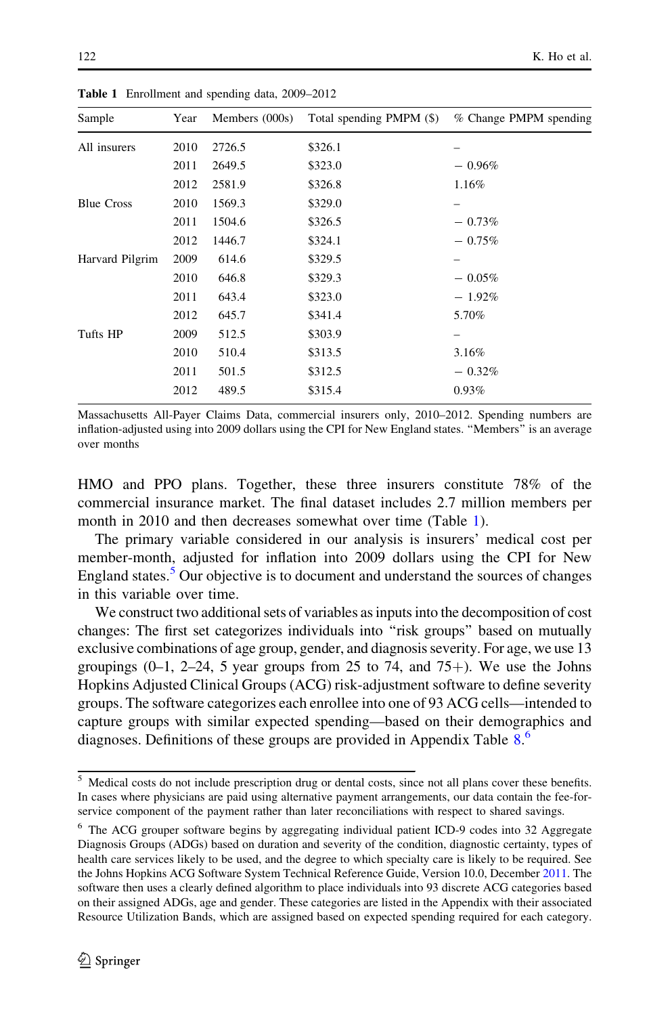| Sample            | Year | Members (000s) | Total spending PMPM (\$) | % Change PMPM spending |
|-------------------|------|----------------|--------------------------|------------------------|
| All insurers      | 2010 | 2726.5         | \$326.1                  |                        |
|                   | 2011 | 2649.5         | \$323.0                  | $-0.96%$               |
|                   | 2012 | 2581.9         | \$326.8                  | 1.16%                  |
| <b>Blue Cross</b> | 2010 | 1569.3         | \$329.0                  |                        |
|                   | 2011 | 1504.6         | \$326.5                  | $-0.73%$               |
|                   | 2012 | 1446.7         | \$324.1                  | $-0.75%$               |
| Harvard Pilgrim   | 2009 | 614.6          | \$329.5                  |                        |
|                   | 2010 | 646.8          | \$329.3                  | $-0.05\%$              |
|                   | 2011 | 643.4          | \$323.0                  | $-1.92\%$              |
|                   | 2012 | 645.7          | \$341.4                  | 5.70%                  |
| Tufts HP          | 2009 | 512.5          | \$303.9                  |                        |
|                   | 2010 | 510.4          | \$313.5                  | 3.16%                  |
|                   | 2011 | 501.5          | \$312.5                  | $-0.32%$               |
|                   | 2012 | 489.5          | \$315.4                  | 0.93%                  |

<span id="page-5-0"></span>Table 1 Enrollment and spending data, 2009–2012

Massachusetts All-Payer Claims Data, commercial insurers only, 2010–2012. Spending numbers are inflation-adjusted using into 2009 dollars using the CPI for New England states. ''Members'' is an average over months

HMO and PPO plans. Together, these three insurers constitute 78% of the commercial insurance market. The final dataset includes 2.7 million members per month in 2010 and then decreases somewhat over time (Table 1).

The primary variable considered in our analysis is insurers' medical cost per member-month, adjusted for inflation into 2009 dollars using the CPI for New England states. $5$  Our objective is to document and understand the sources of changes in this variable over time.

We construct two additional sets of variables as inputs into the decomposition of cost changes: The first set categorizes individuals into ''risk groups'' based on mutually exclusive combinations of age group, gender, and diagnosis severity. For age, we use 13 groupings  $(0-1, 2-24, 5$  year groups from 25 to 74, and 75+). We use the Johns Hopkins Adjusted Clinical Groups (ACG) risk-adjustment software to define severity groups. The software categorizes each enrollee into one of 93 ACG cells—intended to capture groups with similar expected spending—based on their demographics and diagnoses. Definitions of these groups are provided in Appendix Table [8.](#page-17-0)6

<sup>5</sup> Medical costs do not include prescription drug or dental costs, since not all plans cover these benefits. In cases where physicians are paid using alternative payment arrangements, our data contain the fee-forservice component of the payment rather than later reconciliations with respect to shared savings.

<sup>6</sup> The ACG grouper software begins by aggregating individual patient ICD-9 codes into 32 Aggregate Diagnosis Groups (ADGs) based on duration and severity of the condition, diagnostic certainty, types of health care services likely to be used, and the degree to which specialty care is likely to be required. See the Johns Hopkins ACG Software System Technical Reference Guide, Version 10.0, December [2011](#page-20-0). The software then uses a clearly defined algorithm to place individuals into 93 discrete ACG categories based on their assigned ADGs, age and gender. These categories are listed in the Appendix with their associated Resource Utilization Bands, which are assigned based on expected spending required for each category.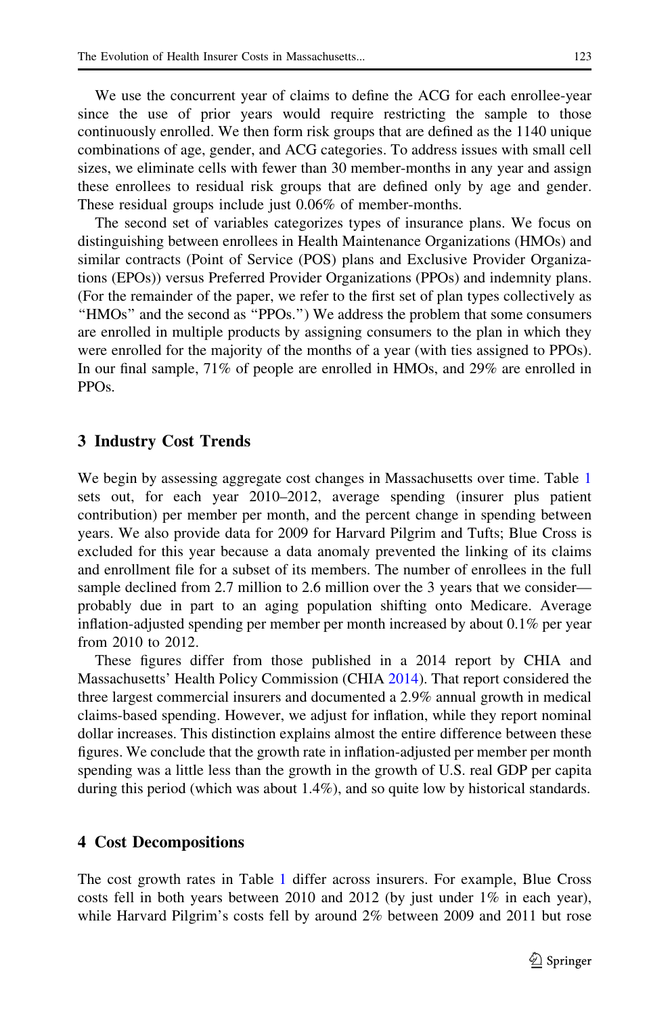<span id="page-6-0"></span>We use the concurrent year of claims to define the ACG for each enrollee-year since the use of prior years would require restricting the sample to those continuously enrolled. We then form risk groups that are defined as the 1140 unique combinations of age, gender, and ACG categories. To address issues with small cell sizes, we eliminate cells with fewer than 30 member-months in any year and assign these enrollees to residual risk groups that are defined only by age and gender. These residual groups include just 0.06% of member-months.

The second set of variables categorizes types of insurance plans. We focus on distinguishing between enrollees in Health Maintenance Organizations (HMOs) and similar contracts (Point of Service (POS) plans and Exclusive Provider Organizations (EPOs)) versus Preferred Provider Organizations (PPOs) and indemnity plans. (For the remainder of the paper, we refer to the first set of plan types collectively as ''HMOs'' and the second as ''PPOs.'') We address the problem that some consumers are enrolled in multiple products by assigning consumers to the plan in which they were enrolled for the majority of the months of a year (with ties assigned to PPOs). In our final sample, 71% of people are enrolled in HMOs, and 29% are enrolled in PPOs.

#### 3 Industry Cost Trends

We begin by assessing aggregate cost changes in Massachusetts over time. Table [1](#page-5-0) sets out, for each year 2010–2012, average spending (insurer plus patient contribution) per member per month, and the percent change in spending between years. We also provide data for 2009 for Harvard Pilgrim and Tufts; Blue Cross is excluded for this year because a data anomaly prevented the linking of its claims and enrollment file for a subset of its members. The number of enrollees in the full sample declined from 2.7 million to 2.6 million over the 3 years that we consider probably due in part to an aging population shifting onto Medicare. Average inflation-adjusted spending per member per month increased by about 0.1% per year from 2010 to 2012.

These figures differ from those published in a 2014 report by CHIA and Massachusetts' Health Policy Commission (CHIA [2014\)](#page-20-0). That report considered the three largest commercial insurers and documented a 2.9% annual growth in medical claims-based spending. However, we adjust for inflation, while they report nominal dollar increases. This distinction explains almost the entire difference between these figures. We conclude that the growth rate in inflation-adjusted per member per month spending was a little less than the growth in the growth of U.S. real GDP per capita during this period (which was about 1.4%), and so quite low by historical standards.

#### 4 Cost Decompositions

The cost growth rates in Table [1](#page-5-0) differ across insurers. For example, Blue Cross costs fell in both years between 2010 and 2012 (by just under 1% in each year), while Harvard Pilgrim's costs fell by around 2% between 2009 and 2011 but rose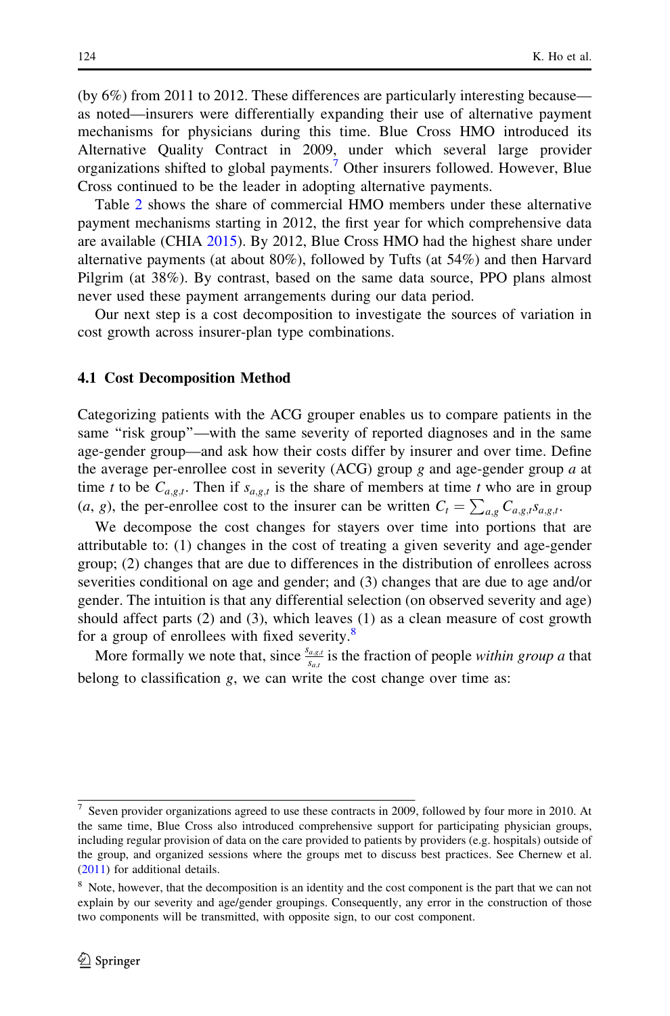(by 6%) from 2011 to 2012. These differences are particularly interesting because as noted—insurers were differentially expanding their use of alternative payment mechanisms for physicians during this time. Blue Cross HMO introduced its Alternative Quality Contract in 2009, under which several large provider organizations shifted to global payments.<sup>7</sup> Other insurers followed. However, Blue Cross continued to be the leader in adopting alternative payments.

Table [2](#page-8-0) shows the share of commercial HMO members under these alternative payment mechanisms starting in 2012, the first year for which comprehensive data are available (CHIA [2015\)](#page-20-0). By 2012, Blue Cross HMO had the highest share under alternative payments (at about 80%), followed by Tufts (at 54%) and then Harvard Pilgrim (at 38%). By contrast, based on the same data source, PPO plans almost never used these payment arrangements during our data period.

Our next step is a cost decomposition to investigate the sources of variation in cost growth across insurer-plan type combinations.

#### 4.1 Cost Decomposition Method

Categorizing patients with the ACG grouper enables us to compare patients in the same "risk group"—with the same severity of reported diagnoses and in the same age-gender group—and ask how their costs differ by insurer and over time. Define the average per-enrollee cost in severity (ACG) group  $g$  and age-gender group  $a$  at time t to be  $C_{a,g,t}$ . Then if  $s_{a,g,t}$  is the share of members at time t who are in group (a, g), the per-enrollee cost to the insurer can be written  $C_t = \sum_{a,g} C_{a,g,t} s_{a,g,t}$ .

We decompose the cost changes for stayers over time into portions that are attributable to: (1) changes in the cost of treating a given severity and age-gender group; (2) changes that are due to differences in the distribution of enrollees across severities conditional on age and gender; and (3) changes that are due to age and/or gender. The intuition is that any differential selection (on observed severity and age) should affect parts  $(2)$  and  $(3)$ , which leaves  $(1)$  as a clean measure of cost growth for a group of enrollees with fixed severity.<sup>8</sup>

More formally we note that, since  $\frac{s_{a,g,t}}{s_{a,t}}$  is the fraction of people within group a that belong to classification g, we can write the cost change over time as:

 $7$  Seven provider organizations agreed to use these contracts in 2009, followed by four more in 2010. At the same time, Blue Cross also introduced comprehensive support for participating physician groups, including regular provision of data on the care provided to patients by providers (e.g. hospitals) outside of the group, and organized sessions where the groups met to discuss best practices. See Chernew et al. ([2011\)](#page-20-0) for additional details.

<sup>&</sup>lt;sup>8</sup> Note, however, that the decomposition is an identity and the cost component is the part that we can not explain by our severity and age/gender groupings. Consequently, any error in the construction of those two components will be transmitted, with opposite sign, to our cost component.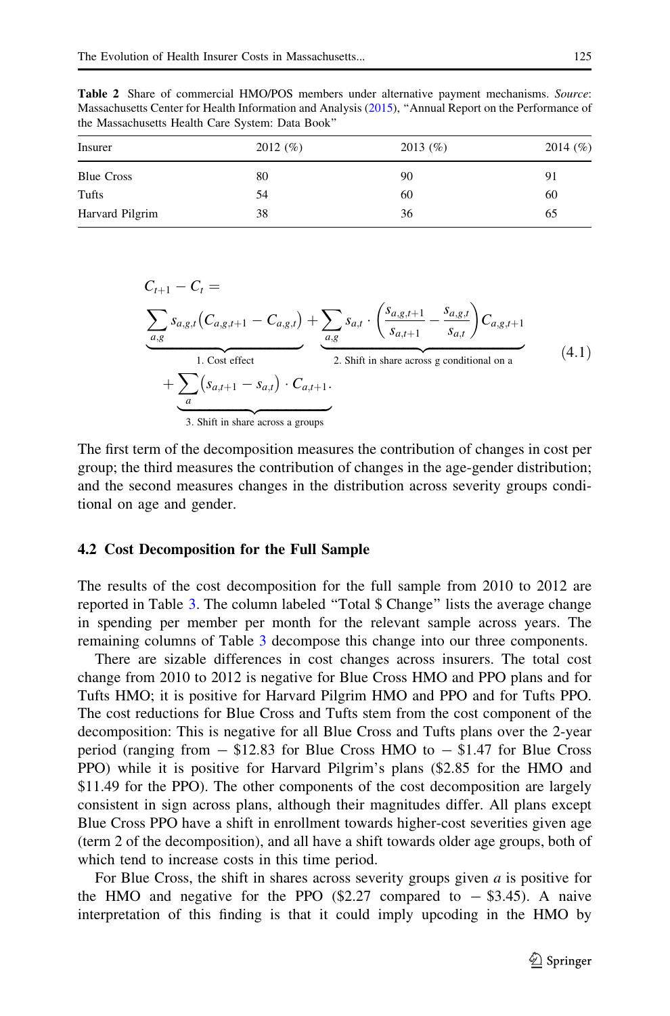<span id="page-8-0"></span>Table 2 Share of commercial HMO/POS members under alternative payment mechanisms. Source: Massachusetts Center for Health Information and Analysis [\(2015\)](#page-20-0), ''Annual Report on the Performance of the Massachusetts Health Care System: Data Book''

| Insurer           | 2012(%) | 2013(%) | 2014 $(\% )$ |
|-------------------|---------|---------|--------------|
| <b>Blue Cross</b> | 80      | 90      | 91           |
| Tufts             | 54      | 60      | 60           |
| Harvard Pilgrim   | 38      | 36      | 65           |

$$
C_{t+1} - C_t = \underbrace{\sum_{a,g} s_{a,g,t} (C_{a,g,t+1} - C_{a,g,t})}_{1.\text{ Cost effect}} + \underbrace{\sum_{a,g} s_{a,t} \cdot \left(\frac{s_{a,g,t+1}}{s_{a,t+1}} - \frac{s_{a,g,t}}{s_{a,t}}\right)}_{2.\text{ Shift in share across g conditional on a}} C_{a,t+1}
$$
\n
$$
+ \underbrace{\sum_{a} (s_{a,t+1} - s_{a,t}) \cdot C_{a,t+1}}_{3.\text{ Shift in share across a groups}}.
$$
\n
$$
(4.1)
$$

The first term of the decomposition measures the contribution of changes in cost per group; the third measures the contribution of changes in the age-gender distribution; and the second measures changes in the distribution across severity groups conditional on age and gender.

#### 4.2 Cost Decomposition for the Full Sample

The results of the cost decomposition for the full sample from 2010 to 2012 are reported in Table [3.](#page-9-0) The column labeled ''Total \$ Change'' lists the average change in spending per member per month for the relevant sample across years. The remaining columns of Table [3](#page-9-0) decompose this change into our three components.

There are sizable differences in cost changes across insurers. The total cost change from 2010 to 2012 is negative for Blue Cross HMO and PPO plans and for Tufts HMO; it is positive for Harvard Pilgrim HMO and PPO and for Tufts PPO. The cost reductions for Blue Cross and Tufts stem from the cost component of the decomposition: This is negative for all Blue Cross and Tufts plans over the 2-year period (ranging from  $-$  \$12.83 for Blue Cross HMO to  $-$  \$1.47 for Blue Cross PPO) while it is positive for Harvard Pilgrim's plans (\$2.85 for the HMO and \$11.49 for the PPO). The other components of the cost decomposition are largely consistent in sign across plans, although their magnitudes differ. All plans except Blue Cross PPO have a shift in enrollment towards higher-cost severities given age (term 2 of the decomposition), and all have a shift towards older age groups, both of which tend to increase costs in this time period.

For Blue Cross, the shift in shares across severity groups given  $a$  is positive for the HMO and negative for the PPO  $(\$2.27$  compared to  $-$  \$3.45). A naive interpretation of this finding is that it could imply upcoding in the HMO by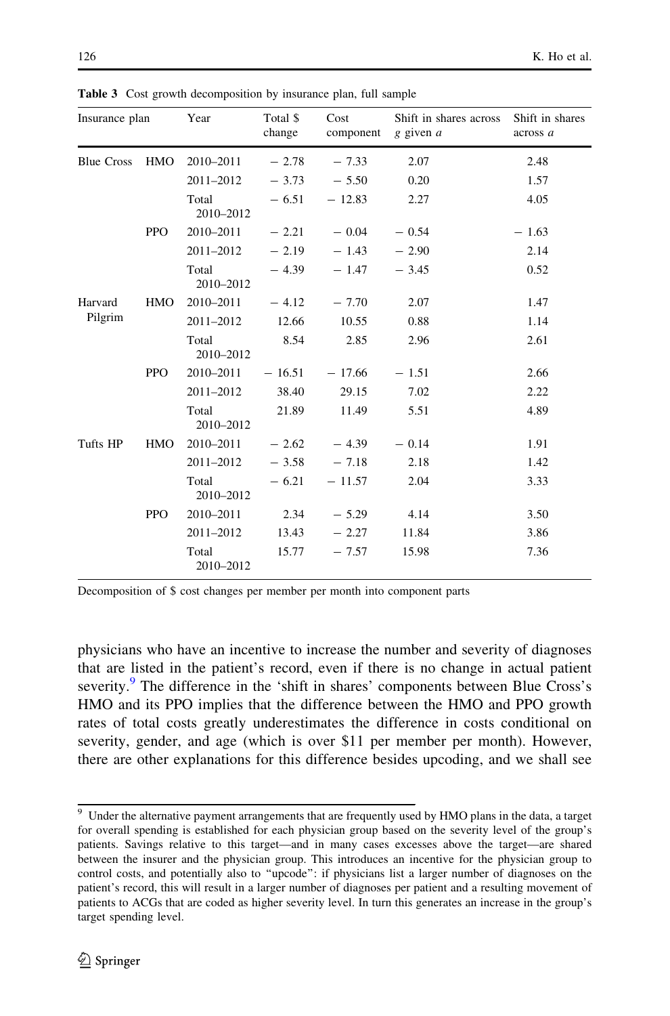| Insurance plan    |            | Year               | Total \$<br>change | Cost<br>component | Shift in shares across<br>$g$ given $a$ | Shift in shares<br>across a |
|-------------------|------------|--------------------|--------------------|-------------------|-----------------------------------------|-----------------------------|
| <b>Blue Cross</b> | <b>HMO</b> | 2010-2011          | $-2.78$            | $-7.33$           | 2.07                                    | 2.48                        |
|                   |            | 2011-2012          | $-3.73$            | $-5.50$           | 0.20                                    | 1.57                        |
|                   |            | Total<br>2010-2012 | $-6.51$            | $-12.83$          | 2.27                                    | 4.05                        |
|                   | <b>PPO</b> | 2010-2011          | $-2.21$            | $-0.04$           | $-0.54$                                 | $-1.63$                     |
|                   |            | 2011-2012          | $-2.19$            | $-1.43$           | $-2.90$                                 | 2.14                        |
|                   |            | Total<br>2010-2012 | $-4.39$            | $-1.47$           | $-3.45$                                 | 0.52                        |
| Harvard           | HMO        | 2010-2011          | $-4.12$            | $-7.70$           | 2.07                                    | 1.47                        |
| Pilgrim           |            | 2011-2012          | 12.66              | 10.55             | 0.88                                    | 1.14                        |
|                   |            | Total<br>2010-2012 | 8.54               | 2.85              | 2.96                                    | 2.61                        |
|                   | <b>PPO</b> | 2010-2011          | $-16.51$           | $-17.66$          | $-1.51$                                 | 2.66                        |
|                   |            | 2011-2012          | 38.40              | 29.15             | 7.02                                    | 2.22                        |
|                   |            | Total<br>2010-2012 | 21.89              | 11.49             | 5.51                                    | 4.89                        |
| Tufts HP          | HMO        | 2010-2011          | $-2.62$            | $-4.39$           | $-0.14$                                 | 1.91                        |
|                   |            | 2011-2012          | $-3.58$            | $-7.18$           | 2.18                                    | 1.42                        |
|                   |            | Total<br>2010-2012 | $-6.21$            | $-11.57$          | 2.04                                    | 3.33                        |
|                   | <b>PPO</b> | 2010-2011          | 2.34               | $-5.29$           | 4.14                                    | 3.50                        |
|                   |            | 2011-2012          | 13.43              | $-2.27$           | 11.84                                   | 3.86                        |
|                   |            | Total<br>2010-2012 | 15.77              | $-7.57$           | 15.98                                   | 7.36                        |

<span id="page-9-0"></span>Table 3 Cost growth decomposition by insurance plan, full sample

Decomposition of \$ cost changes per member per month into component parts

physicians who have an incentive to increase the number and severity of diagnoses that are listed in the patient's record, even if there is no change in actual patient severity.<sup>9</sup> The difference in the 'shift in shares' components between Blue Cross's HMO and its PPO implies that the difference between the HMO and PPO growth rates of total costs greatly underestimates the difference in costs conditional on severity, gender, and age (which is over \$11 per member per month). However, there are other explanations for this difference besides upcoding, and we shall see

<sup>9</sup> Under the alternative payment arrangements that are frequently used by HMO plans in the data, a target for overall spending is established for each physician group based on the severity level of the group's patients. Savings relative to this target—and in many cases excesses above the target—are shared between the insurer and the physician group. This introduces an incentive for the physician group to control costs, and potentially also to ''upcode'': if physicians list a larger number of diagnoses on the patient's record, this will result in a larger number of diagnoses per patient and a resulting movement of patients to ACGs that are coded as higher severity level. In turn this generates an increase in the group's target spending level.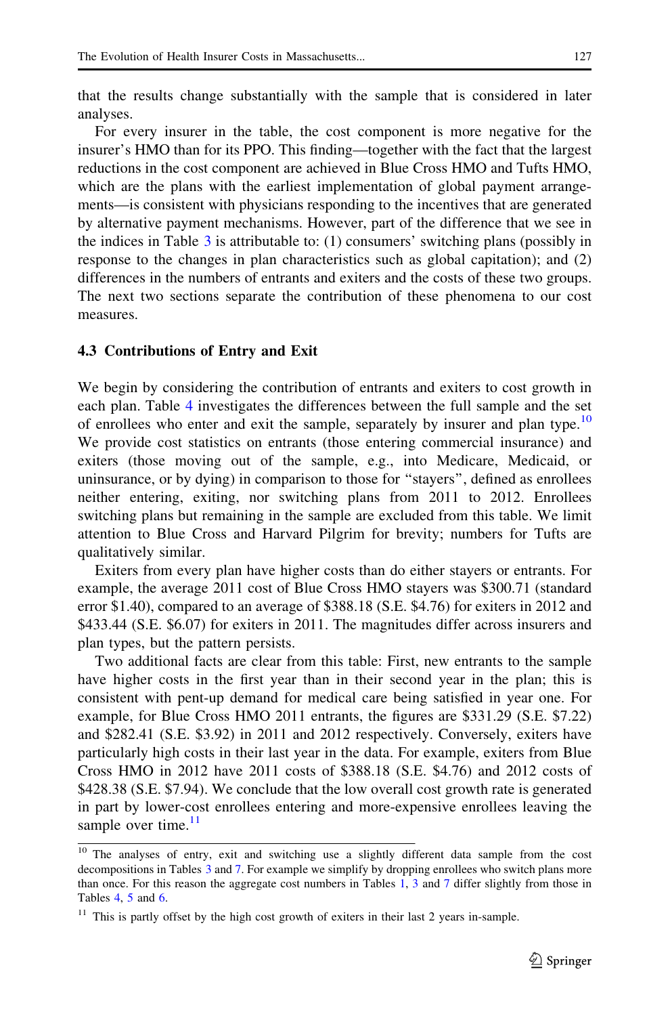that the results change substantially with the sample that is considered in later analyses.

For every insurer in the table, the cost component is more negative for the insurer's HMO than for its PPO. This finding—together with the fact that the largest reductions in the cost component are achieved in Blue Cross HMO and Tufts HMO, which are the plans with the earliest implementation of global payment arrangements—is consistent with physicians responding to the incentives that are generated by alternative payment mechanisms. However, part of the difference that we see in the indices in Table [3](#page-9-0) is attributable to: (1) consumers' switching plans (possibly in response to the changes in plan characteristics such as global capitation); and (2) differences in the numbers of entrants and exiters and the costs of these two groups. The next two sections separate the contribution of these phenomena to our cost measures.

#### 4.3 Contributions of Entry and Exit

We begin by considering the contribution of entrants and exiters to cost growth in each plan. Table [4](#page-11-0) investigates the differences between the full sample and the set of enrollees who enter and exit the sample, separately by insurer and plan type.<sup>10</sup> We provide cost statistics on entrants (those entering commercial insurance) and exiters (those moving out of the sample, e.g., into Medicare, Medicaid, or uninsurance, or by dying) in comparison to those for ''stayers'', defined as enrollees neither entering, exiting, nor switching plans from 2011 to 2012. Enrollees switching plans but remaining in the sample are excluded from this table. We limit attention to Blue Cross and Harvard Pilgrim for brevity; numbers for Tufts are qualitatively similar.

Exiters from every plan have higher costs than do either stayers or entrants. For example, the average 2011 cost of Blue Cross HMO stayers was \$300.71 (standard error \$1.40), compared to an average of \$388.18 (S.E. \$4.76) for exiters in 2012 and \$433.44 (S.E. \$6.07) for exiters in 2011. The magnitudes differ across insurers and plan types, but the pattern persists.

Two additional facts are clear from this table: First, new entrants to the sample have higher costs in the first year than in their second year in the plan; this is consistent with pent-up demand for medical care being satisfied in year one. For example, for Blue Cross HMO 2011 entrants, the figures are \$331.29 (S.E. \$7.22) and \$282.41 (S.E. \$3.92) in 2011 and 2012 respectively. Conversely, exiters have particularly high costs in their last year in the data. For example, exiters from Blue Cross HMO in 2012 have 2011 costs of \$388.18 (S.E. \$4.76) and 2012 costs of \$428.38 (S.E. \$7.94). We conclude that the low overall cost growth rate is generated in part by lower-cost enrollees entering and more-expensive enrollees leaving the sample over time. $11$ 

<sup>&</sup>lt;sup>10</sup> The analyses of entry, exit and switching use a slightly different data sample from the cost decompositions in Tables [3](#page-9-0) and [7](#page-14-0). For example we simplify by dropping enrollees who switch plans more than once. For this reason the aggregate cost numbers in Tables [1](#page-5-0), [3](#page-9-0) and [7](#page-14-0) differ slightly from those in Tables  $4, 5$  $4, 5$  $4, 5$  and  $6$ .

<sup>&</sup>lt;sup>11</sup> This is partly offset by the high cost growth of exiters in their last 2 years in-sample.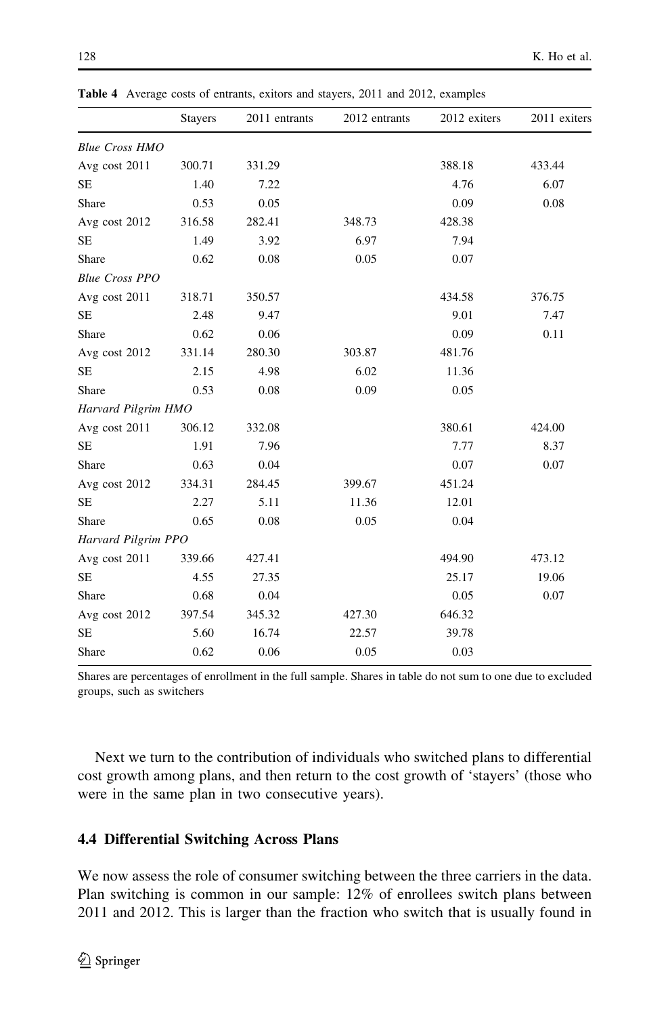|                       | <b>Stayers</b> | 2011 entrants | 2012 entrants | 2012 exiters | 2011 exiters |
|-----------------------|----------------|---------------|---------------|--------------|--------------|
| <b>Blue Cross HMO</b> |                |               |               |              |              |
| Avg cost 2011         | 300.71         | 331.29        |               | 388.18       | 433.44       |
| <b>SE</b>             | 1.40           | 7.22          |               | 4.76         | 6.07         |
| Share                 | 0.53           | 0.05          |               | 0.09         | 0.08         |
| Avg cost 2012         | 316.58         | 282.41        | 348.73        | 428.38       |              |
| <b>SE</b>             | 1.49           | 3.92          | 6.97          | 7.94         |              |
| Share                 | 0.62           | 0.08          | 0.05          | 0.07         |              |
| <b>Blue Cross PPO</b> |                |               |               |              |              |
| Avg cost 2011         | 318.71         | 350.57        |               | 434.58       | 376.75       |
| <b>SE</b>             | 2.48           | 9.47          |               | 9.01         | 7.47         |
| Share                 | 0.62           | 0.06          |               | 0.09         | 0.11         |
| Avg cost 2012         | 331.14         | 280.30        | 303.87        | 481.76       |              |
| <b>SE</b>             | 2.15           | 4.98          | 6.02          | 11.36        |              |
| Share                 | 0.53           | 0.08          | 0.09          | 0.05         |              |
| Harvard Pilgrim HMO   |                |               |               |              |              |
| Avg cost 2011         | 306.12         | 332.08        |               | 380.61       | 424.00       |
| <b>SE</b>             | 1.91           | 7.96          |               | 7.77         | 8.37         |
| Share                 | 0.63           | 0.04          |               | 0.07         | 0.07         |
| Avg cost 2012         | 334.31         | 284.45        | 399.67        | 451.24       |              |
| <b>SE</b>             | 2.27           | 5.11          | 11.36         | 12.01        |              |
| Share                 | 0.65           | 0.08          | 0.05          | 0.04         |              |
| Harvard Pilgrim PPO   |                |               |               |              |              |
| Avg cost 2011         | 339.66         | 427.41        |               | 494.90       | 473.12       |
| <b>SE</b>             | 4.55           | 27.35         |               | 25.17        | 19.06        |
| Share                 | 0.68           | 0.04          |               | 0.05         | 0.07         |
| Avg cost 2012         | 397.54         | 345.32        | 427.30        | 646.32       |              |
| <b>SE</b>             | 5.60           | 16.74         | 22.57         | 39.78        |              |
| Share                 | 0.62           | 0.06          | 0.05          | 0.03         |              |

<span id="page-11-0"></span>Table 4 Average costs of entrants, exitors and stayers, 2011 and 2012, examples

Shares are percentages of enrollment in the full sample. Shares in table do not sum to one due to excluded groups, such as switchers

Next we turn to the contribution of individuals who switched plans to differential cost growth among plans, and then return to the cost growth of 'stayers' (those who were in the same plan in two consecutive years).

#### 4.4 Differential Switching Across Plans

We now assess the role of consumer switching between the three carriers in the data. Plan switching is common in our sample: 12% of enrollees switch plans between 2011 and 2012. This is larger than the fraction who switch that is usually found in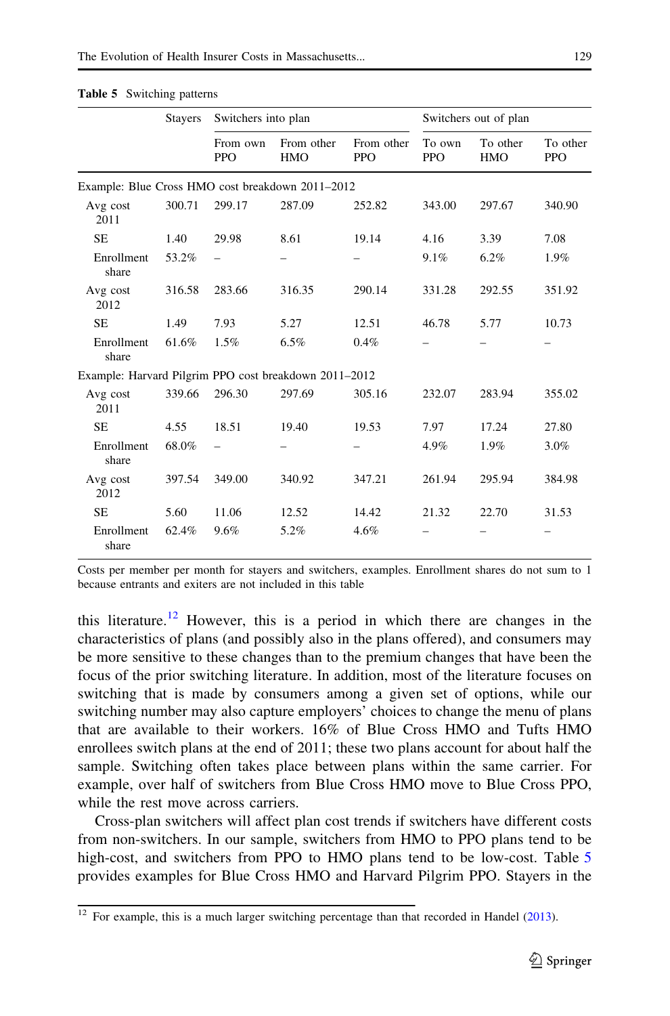|                                                       | <b>Stayers</b> | Switchers into plan      |                          | Switchers out of plan    |                      |                        |                        |
|-------------------------------------------------------|----------------|--------------------------|--------------------------|--------------------------|----------------------|------------------------|------------------------|
|                                                       |                | From own<br><b>PPO</b>   | From other<br><b>HMO</b> | From other<br><b>PPO</b> | To own<br><b>PPO</b> | To other<br><b>HMO</b> | To other<br><b>PPO</b> |
| Example: Blue Cross HMO cost breakdown 2011-2012      |                |                          |                          |                          |                      |                        |                        |
| Avg cost<br>2011                                      | 300.71         | 299.17                   | 287.09                   | 252.82                   | 343.00               | 297.67                 | 340.90                 |
| <b>SE</b>                                             | 1.40           | 29.98                    | 8.61                     | 19.14                    | 4.16                 | 3.39                   | 7.08                   |
| Enrollment<br>share                                   | 53.2%          | $\qquad \qquad -$        |                          |                          | 9.1%                 | 6.2%                   | 1.9%                   |
| Avg cost<br>2012                                      | 316.58         | 283.66                   | 316.35                   | 290.14                   | 331.28               | 292.55                 | 351.92                 |
| <b>SE</b>                                             | 1.49           | 7.93                     | 5.27                     | 12.51                    | 46.78                | 5.77                   | 10.73                  |
| Enrollment<br>share                                   | 61.6%          | 1.5%                     | 6.5%                     | 0.4%                     |                      |                        |                        |
| Example: Harvard Pilgrim PPO cost breakdown 2011-2012 |                |                          |                          |                          |                      |                        |                        |
| Avg cost<br>2011                                      | 339.66         | 296.30                   | 297.69                   | 305.16                   | 232.07               | 283.94                 | 355.02                 |
| <b>SE</b>                                             | 4.55           | 18.51                    | 19.40                    | 19.53                    | 7.97                 | 17.24                  | 27.80                  |
| Enrollment<br>share                                   | 68.0%          | $\overline{\phantom{0}}$ |                          |                          | 4.9%                 | 1.9%                   | $3.0\%$                |
| Avg cost<br>2012                                      | 397.54         | 349.00                   | 340.92                   | 347.21                   | 261.94               | 295.94                 | 384.98                 |
| <b>SE</b>                                             | 5.60           | 11.06                    | 12.52                    | 14.42                    | 21.32                | 22.70                  | 31.53                  |
| Enrollment<br>share                                   | 62.4%          | 9.6%                     | 5.2%                     | 4.6%                     |                      |                        |                        |

<span id="page-12-0"></span>Table 5 Switching patterns

Costs per member per month for stayers and switchers, examples. Enrollment shares do not sum to 1 because entrants and exiters are not included in this table

this literature.<sup>12</sup> However, this is a period in which there are changes in the characteristics of plans (and possibly also in the plans offered), and consumers may be more sensitive to these changes than to the premium changes that have been the focus of the prior switching literature. In addition, most of the literature focuses on switching that is made by consumers among a given set of options, while our switching number may also capture employers' choices to change the menu of plans that are available to their workers. 16% of Blue Cross HMO and Tufts HMO enrollees switch plans at the end of 2011; these two plans account for about half the sample. Switching often takes place between plans within the same carrier. For example, over half of switchers from Blue Cross HMO move to Blue Cross PPO, while the rest move across carriers.

Cross-plan switchers will affect plan cost trends if switchers have different costs from non-switchers. In our sample, switchers from HMO to PPO plans tend to be high-cost, and switchers from PPO to HMO plans tend to be low-cost. Table 5 provides examples for Blue Cross HMO and Harvard Pilgrim PPO. Stayers in the

 $12$  For example, this is a much larger switching percentage than that recorded in Handel ([2013\)](#page-20-0).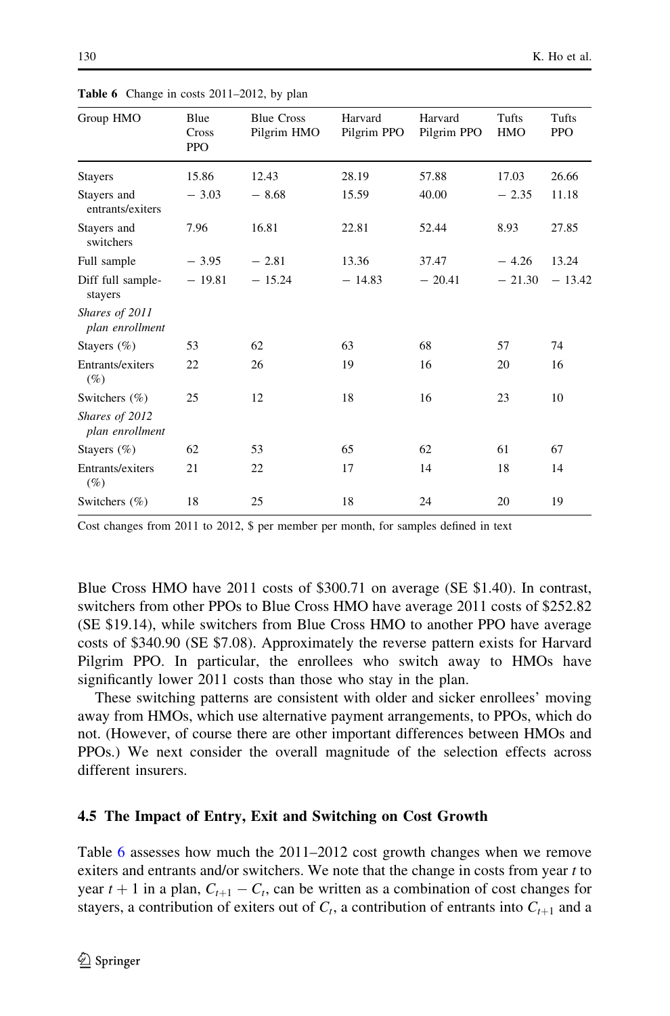| Group HMO                         | Blue<br>Cross<br><b>PPO</b> | <b>Blue Cross</b><br>Pilgrim HMO | Harvard<br>Pilgrim PPO | Harvard<br>Pilgrim PPO | Tufts<br>HMO | Tufts<br><b>PPO</b> |
|-----------------------------------|-----------------------------|----------------------------------|------------------------|------------------------|--------------|---------------------|
| <b>Stayers</b>                    | 15.86                       | 12.43                            | 28.19                  | 57.88                  | 17.03        | 26.66               |
| Stayers and<br>entrants/exiters   | $-3.03$                     | $-8.68$                          | 15.59                  | 40.00                  | $-2.35$      | 11.18               |
| Stayers and<br>switchers          | 7.96                        | 16.81                            | 22.81                  | 52.44                  | 8.93         | 27.85               |
| Full sample                       | $-3.95$                     | $-2.81$                          | 13.36                  | 37.47                  | $-4.26$      | 13.24               |
| Diff full sample-<br>stayers      | $-19.81$                    | $-15.24$                         | $-14.83$               | $-20.41$               | $-21.30$     | $-13.42$            |
| Shares of 2011<br>plan enrollment |                             |                                  |                        |                        |              |                     |
| Stayers $(\% )$                   | 53                          | 62                               | 63                     | 68                     | 57           | 74                  |
| Entrants/exiters<br>$(\%)$        | 22                          | 26                               | 19                     | 16                     | 20           | 16                  |
| Switchers (%)                     | 25                          | 12                               | 18                     | 16                     | 23           | 10                  |
| Shares of 2012<br>plan enrollment |                             |                                  |                        |                        |              |                     |
| Stayers $(\%)$                    | 62                          | 53                               | 65                     | 62                     | 61           | 67                  |
| Entrants/exiters<br>$(\%)$        | 21                          | 22                               | 17                     | 14                     | 18           | 14                  |
| Switchers (%)                     | 18                          | 25                               | 18                     | 24                     | 20           | 19                  |

<span id="page-13-0"></span>Table 6 Change in costs 2011-2012, by plan

Cost changes from 2011 to 2012, \$ per member per month, for samples defined in text

Blue Cross HMO have 2011 costs of \$300.71 on average (SE \$1.40). In contrast, switchers from other PPOs to Blue Cross HMO have average 2011 costs of \$252.82 (SE \$19.14), while switchers from Blue Cross HMO to another PPO have average costs of \$340.90 (SE \$7.08). Approximately the reverse pattern exists for Harvard Pilgrim PPO. In particular, the enrollees who switch away to HMOs have significantly lower 2011 costs than those who stay in the plan.

These switching patterns are consistent with older and sicker enrollees' moving away from HMOs, which use alternative payment arrangements, to PPOs, which do not. (However, of course there are other important differences between HMOs and PPOs.) We next consider the overall magnitude of the selection effects across different insurers.

#### 4.5 The Impact of Entry, Exit and Switching on Cost Growth

Table 6 assesses how much the 2011–2012 cost growth changes when we remove exiters and entrants and/or switchers. We note that the change in costs from year t to year  $t + 1$  in a plan,  $C_{t+1} - C_t$ , can be written as a combination of cost changes for stayers, a contribution of exiters out of  $C_t$ , a contribution of entrants into  $C_{t+1}$  and a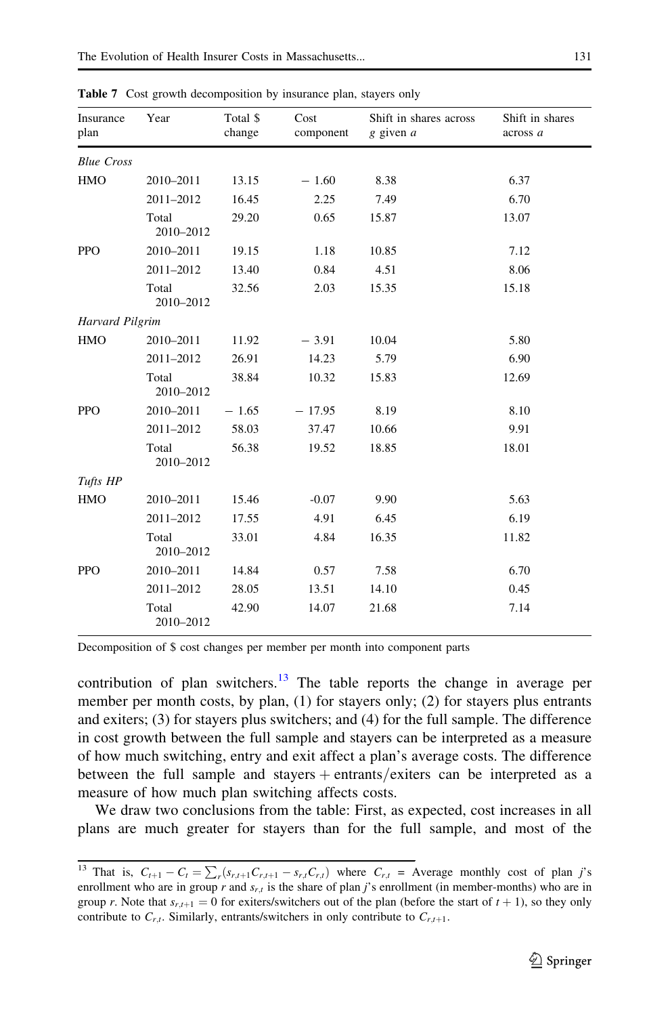| Insurance<br>plan | Year               | Total \$<br>change | Cost<br>component | Shift in shares across<br>$g$ given $a$ | Shift in shares<br>across a |
|-------------------|--------------------|--------------------|-------------------|-----------------------------------------|-----------------------------|
| <b>Blue Cross</b> |                    |                    |                   |                                         |                             |
| <b>HMO</b>        | 2010-2011          | 13.15              | $-1.60$           | 8.38                                    | 6.37                        |
|                   | 2011-2012          | 16.45              | 2.25              | 7.49                                    | 6.70                        |
|                   | Total<br>2010-2012 | 29.20              | 0.65              | 15.87                                   | 13.07                       |
| <b>PPO</b>        | 2010-2011          | 19.15              | 1.18              | 10.85                                   | 7.12                        |
|                   | 2011-2012          | 13.40              | 0.84              | 4.51                                    | 8.06                        |
|                   | Total<br>2010-2012 | 32.56              | 2.03              | 15.35                                   | 15.18                       |
| Harvard Pilgrim   |                    |                    |                   |                                         |                             |
| <b>HMO</b>        | 2010-2011          | 11.92              | $-3.91$           | 10.04                                   | 5.80                        |
|                   | 2011-2012          | 26.91              | 14.23             | 5.79                                    | 6.90                        |
|                   | Total<br>2010-2012 | 38.84              | 10.32             | 15.83                                   | 12.69                       |
| <b>PPO</b>        | 2010-2011          | $-1.65$            | $-17.95$          | 8.19                                    | 8.10                        |
|                   | 2011-2012          | 58.03              | 37.47             | 10.66                                   | 9.91                        |
|                   | Total<br>2010-2012 | 56.38              | 19.52             | 18.85                                   | 18.01                       |
| Tufts HP          |                    |                    |                   |                                         |                             |
| <b>HMO</b>        | 2010-2011          | 15.46              | $-0.07$           | 9.90                                    | 5.63                        |
|                   | 2011-2012          | 17.55              | 4.91              | 6.45                                    | 6.19                        |
|                   | Total<br>2010-2012 | 33.01              | 4.84              | 16.35                                   | 11.82                       |
| <b>PPO</b>        | 2010-2011          | 14.84              | 0.57              | 7.58                                    | 6.70                        |
|                   | 2011-2012          | 28.05              | 13.51             | 14.10                                   | 0.45                        |
|                   | Total<br>2010-2012 | 42.90              | 14.07             | 21.68                                   | 7.14                        |

<span id="page-14-0"></span>Table 7 Cost growth decomposition by insurance plan, stayers only

Decomposition of \$ cost changes per member per month into component parts

contribution of plan switchers.<sup>13</sup> The table reports the change in average per member per month costs, by plan, (1) for stayers only; (2) for stayers plus entrants and exiters; (3) for stayers plus switchers; and (4) for the full sample. The difference in cost growth between the full sample and stayers can be interpreted as a measure of how much switching, entry and exit affect a plan's average costs. The difference between the full sample and stayers  $+$  entrants/exiters can be interpreted as a measure of how much plan switching affects costs.

We draw two conclusions from the table: First, as expected, cost increases in all plans are much greater for stayers than for the full sample, and most of the

<sup>&</sup>lt;sup>13</sup> That is,  $C_{t+1} - C_t = \sum_r (s_{r,t+1}C_{r,t+1} - s_{r,t}C_{r,t})$  where  $C_{r,t}$  = Average monthly cost of plan j's enrollment who are in group r and  $s_{r,t}$  is the share of plan j's enrollment (in member-months) who are in group r. Note that  $s_{r,t+1} = 0$  for exiters/switchers out of the plan (before the start of  $t + 1$ ), so they only contribute to  $C_{r,t}$ . Similarly, entrants/switchers in only contribute to  $C_{r,t+1}$ .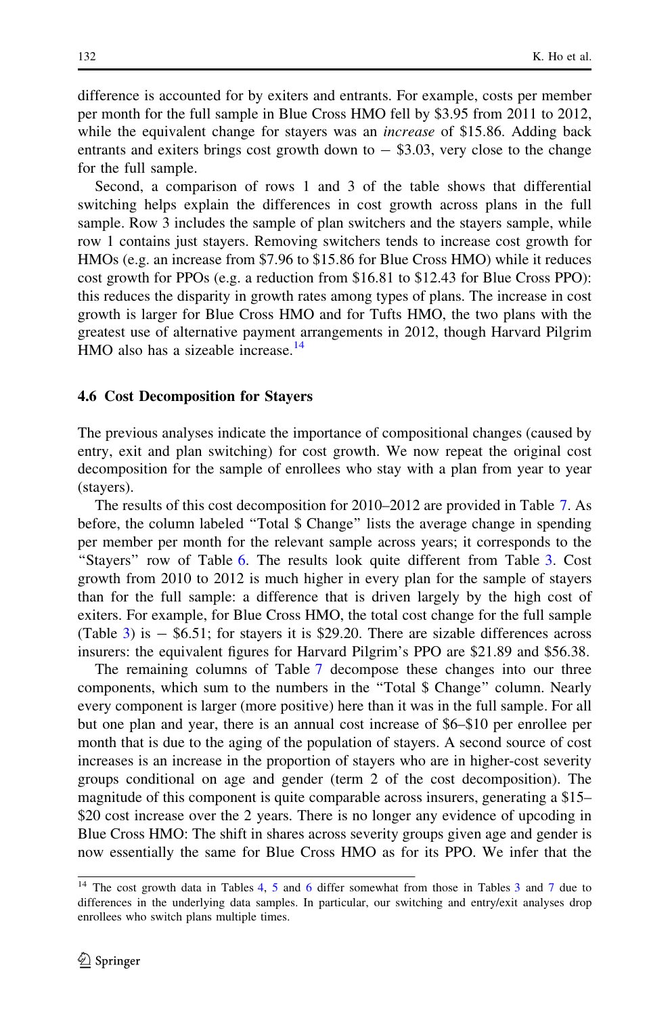difference is accounted for by exiters and entrants. For example, costs per member per month for the full sample in Blue Cross HMO fell by \$3.95 from 2011 to 2012, while the equivalent change for stayers was an *increase* of \$15.86. Adding back entrants and exiters brings cost growth down to  $-$  \$3.03, very close to the change for the full sample.

Second, a comparison of rows 1 and 3 of the table shows that differential switching helps explain the differences in cost growth across plans in the full sample. Row 3 includes the sample of plan switchers and the stayers sample, while row 1 contains just stayers. Removing switchers tends to increase cost growth for HMOs (e.g. an increase from \$7.96 to \$15.86 for Blue Cross HMO) while it reduces cost growth for PPOs (e.g. a reduction from \$16.81 to \$12.43 for Blue Cross PPO): this reduces the disparity in growth rates among types of plans. The increase in cost growth is larger for Blue Cross HMO and for Tufts HMO, the two plans with the greatest use of alternative payment arrangements in 2012, though Harvard Pilgrim HMO also has a sizeable increase.<sup>14</sup>

## 4.6 Cost Decomposition for Stayers

The previous analyses indicate the importance of compositional changes (caused by entry, exit and plan switching) for cost growth. We now repeat the original cost decomposition for the sample of enrollees who stay with a plan from year to year (stayers).

The results of this cost decomposition for 2010–2012 are provided in Table [7](#page-14-0). As before, the column labeled ''Total \$ Change'' lists the average change in spending per member per month for the relevant sample across years; it corresponds to the "Stayers" row of Table [6](#page-13-0). The results look quite different from Table [3.](#page-9-0) Cost growth from 2010 to 2012 is much higher in every plan for the sample of stayers than for the full sample: a difference that is driven largely by the high cost of exiters. For example, for Blue Cross HMO, the total cost change for the full sample (Table [3](#page-9-0)) is  $-$  \$6.51; for stayers it is \$29.20. There are sizable differences across insurers: the equivalent figures for Harvard Pilgrim's PPO are \$21.89 and \$56.38.

The remaining columns of Table [7](#page-14-0) decompose these changes into our three components, which sum to the numbers in the ''Total \$ Change'' column. Nearly every component is larger (more positive) here than it was in the full sample. For all but one plan and year, there is an annual cost increase of \$6–\$10 per enrollee per month that is due to the aging of the population of stayers. A second source of cost increases is an increase in the proportion of stayers who are in higher-cost severity groups conditional on age and gender (term 2 of the cost decomposition). The magnitude of this component is quite comparable across insurers, generating a \$15– \$20 cost increase over the 2 years. There is no longer any evidence of upcoding in Blue Cross HMO: The shift in shares across severity groups given age and gender is now essentially the same for Blue Cross HMO as for its PPO. We infer that the

<sup>&</sup>lt;sup>1[4](#page-11-0)</sup> The cost growth data in Tables 4, [5](#page-12-0) and [6](#page-13-0) differ somewhat from those in Tables [3](#page-9-0) and [7](#page-14-0) due to differences in the underlying data samples. In particular, our switching and entry/exit analyses drop enrollees who switch plans multiple times.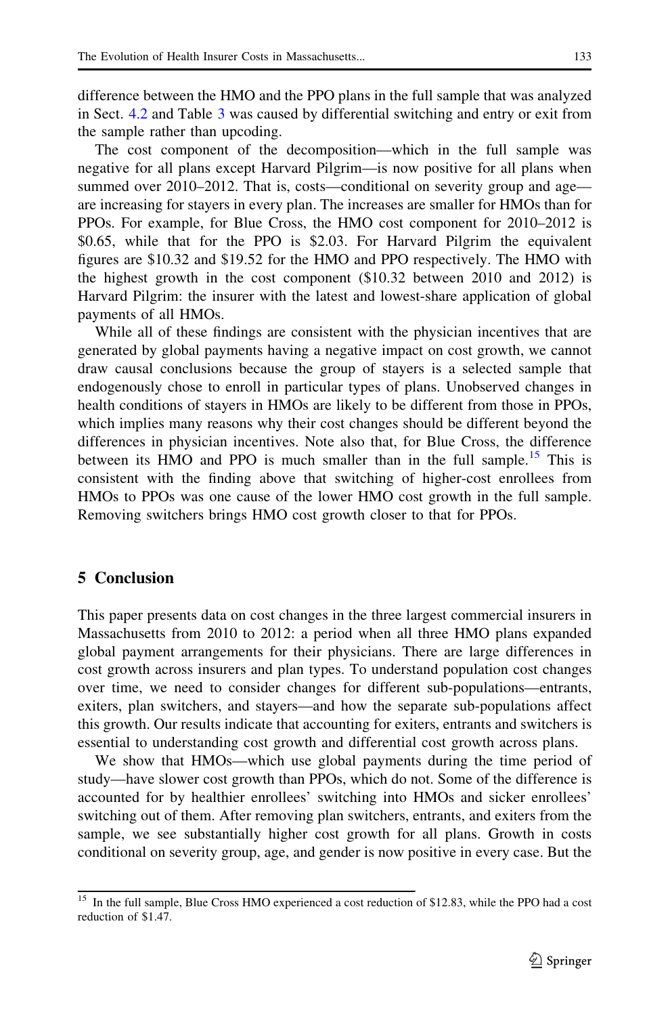difference between the HMO and the PPO plans in the full sample that was analyzed in Sect. [4.2](#page-8-0) and Table [3](#page-9-0) was caused by differential switching and entry or exit from the sample rather than upcoding.

The cost component of the decomposition—which in the full sample was negative for all plans except Harvard Pilgrim—is now positive for all plans when summed over 2010–2012. That is, costs—conditional on severity group and age are increasing for stayers in every plan. The increases are smaller for HMOs than for PPOs. For example, for Blue Cross, the HMO cost component for 2010–2012 is \$0.65, while that for the PPO is \$2.03. For Harvard Pilgrim the equivalent figures are \$10.32 and \$19.52 for the HMO and PPO respectively. The HMO with the highest growth in the cost component (\$10.32 between 2010 and 2012) is Harvard Pilgrim: the insurer with the latest and lowest-share application of global payments of all HMOs.

While all of these findings are consistent with the physician incentives that are generated by global payments having a negative impact on cost growth, we cannot draw causal conclusions because the group of stayers is a selected sample that endogenously chose to enroll in particular types of plans. Unobserved changes in health conditions of stayers in HMOs are likely to be different from those in PPOs, which implies many reasons why their cost changes should be different beyond the differences in physician incentives. Note also that, for Blue Cross, the difference between its HMO and PPO is much smaller than in the full sample.<sup>15</sup> This is consistent with the finding above that switching of higher-cost enrollees from HMOs to PPOs was one cause of the lower HMO cost growth in the full sample. Removing switchers brings HMO cost growth closer to that for PPOs.

# 5 Conclusion

This paper presents data on cost changes in the three largest commercial insurers in Massachusetts from 2010 to 2012: a period when all three HMO plans expanded global payment arrangements for their physicians. There are large differences in cost growth across insurers and plan types. To understand population cost changes over time, we need to consider changes for different sub-populations—entrants, exiters, plan switchers, and stayers—and how the separate sub-populations affect this growth. Our results indicate that accounting for exiters, entrants and switchers is essential to understanding cost growth and differential cost growth across plans.

We show that HMOs—which use global payments during the time period of study—have slower cost growth than PPOs, which do not. Some of the difference is accounted for by healthier enrollees' switching into HMOs and sicker enrollees' switching out of them. After removing plan switchers, entrants, and exiters from the sample, we see substantially higher cost growth for all plans. Growth in costs conditional on severity group, age, and gender is now positive in every case. But the

In the full sample, Blue Cross HMO experienced a cost reduction of \$12.83, while the PPO had a cost reduction of \$1.47.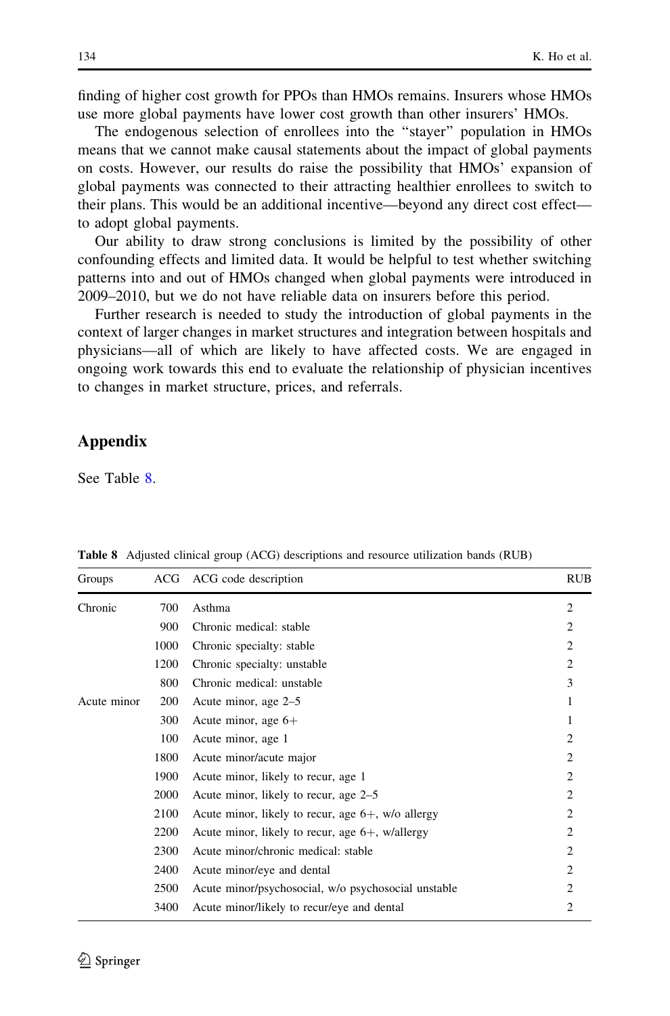<span id="page-17-0"></span>finding of higher cost growth for PPOs than HMOs remains. Insurers whose HMOs use more global payments have lower cost growth than other insurers' HMOs.

The endogenous selection of enrollees into the ''stayer'' population in HMOs means that we cannot make causal statements about the impact of global payments on costs. However, our results do raise the possibility that HMOs' expansion of global payments was connected to their attracting healthier enrollees to switch to their plans. This would be an additional incentive—beyond any direct cost effect to adopt global payments.

Our ability to draw strong conclusions is limited by the possibility of other confounding effects and limited data. It would be helpful to test whether switching patterns into and out of HMOs changed when global payments were introduced in 2009–2010, but we do not have reliable data on insurers before this period.

Further research is needed to study the introduction of global payments in the context of larger changes in market structures and integration between hospitals and physicians—all of which are likely to have affected costs. We are engaged in ongoing work towards this end to evaluate the relationship of physician incentives to changes in market structure, prices, and referrals.

## Appendix

See Table 8.

| Groups      | ACG  | ACG code description                                | <b>RUB</b>             |
|-------------|------|-----------------------------------------------------|------------------------|
| Chronic     | 700  | Asthma                                              | 2                      |
|             | 900  | Chronic medical: stable                             | 2                      |
|             | 1000 | Chronic specialty: stable                           | 2                      |
|             | 1200 | Chronic specialty: unstable                         | $\mathfrak{D}$         |
|             | 800  | Chronic medical: unstable                           | 3                      |
| Acute minor | 200  | Acute minor, age 2–5                                | 1                      |
|             | 300  | Acute minor, age $6+$                               | 1                      |
|             | 100  | Acute minor, age 1                                  | $\overline{c}$         |
|             | 1800 | Acute minor/acute major                             | 2                      |
|             | 1900 | Acute minor, likely to recur, age 1                 | $\mathcal{D}_{\alpha}$ |
|             | 2000 | Acute minor, likely to recur, age 2–5               | 2                      |
|             | 2100 | Acute minor, likely to recur, age 6+, w/o allergy   | 2                      |
|             | 2200 | Acute minor, likely to recur, age $6+$ , w/allergy  | 2                      |
|             | 2300 | Acute minor/chronic medical: stable                 | $\overline{c}$         |
|             | 2400 | Acute minor/eye and dental                          | 2                      |
|             | 2500 | Acute minor/psychosocial, w/o psychosocial unstable | $\mathfrak{D}$         |
|             | 3400 | Acute minor/likely to recur/eye and dental          | $\overline{c}$         |

Table 8 Adjusted clinical group (ACG) descriptions and resource utilization bands (RUB)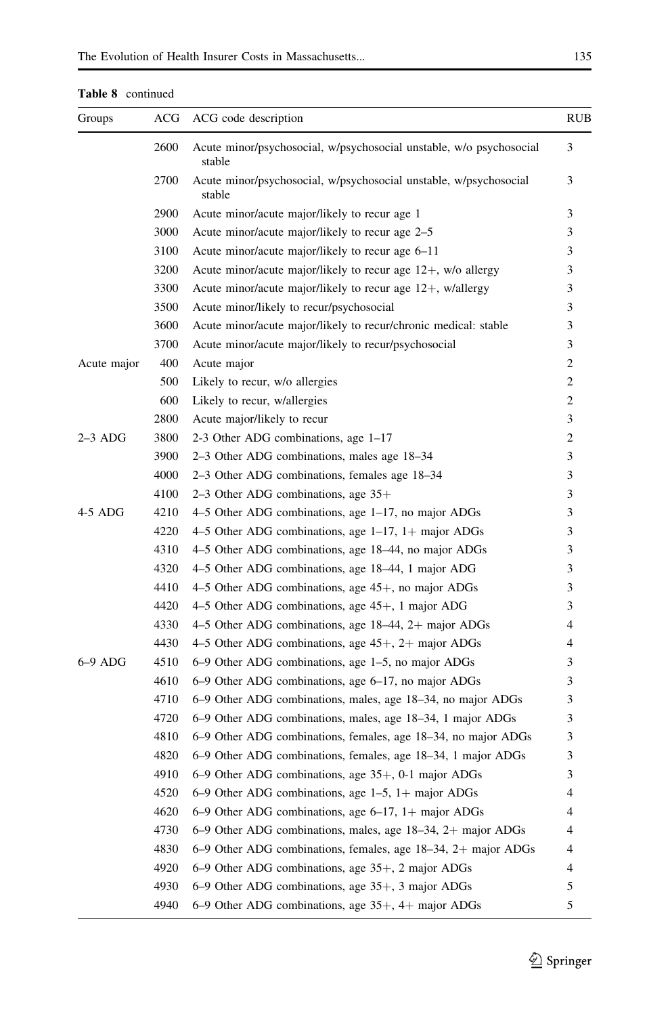| Groups      | ACG  | ACG code description                                                          | RUB            |
|-------------|------|-------------------------------------------------------------------------------|----------------|
|             | 2600 | Acute minor/psychosocial, w/psychosocial unstable, w/o psychosocial<br>stable | 3              |
|             | 2700 | Acute minor/psychosocial, w/psychosocial unstable, w/psychosocial<br>stable   | 3              |
|             | 2900 | Acute minor/acute major/likely to recur age 1                                 | 3              |
|             | 3000 | Acute minor/acute major/likely to recur age 2–5                               | 3              |
|             | 3100 | Acute minor/acute major/likely to recur age 6–11                              | 3              |
|             | 3200 | Acute minor/acute major/likely to recur age 12+, w/o allergy                  | 3              |
|             | 3300 | Acute minor/acute major/likely to recur age $12+$ , w/allergy                 | 3              |
|             | 3500 | Acute minor/likely to recur/psychosocial                                      | 3              |
|             | 3600 | Acute minor/acute major/likely to recur/chronic medical: stable               | 3              |
|             | 3700 | Acute minor/acute major/likely to recur/psychosocial                          | 3              |
| Acute major | 400  | Acute major                                                                   | $\overline{c}$ |
|             | 500  | Likely to recur, w/o allergies                                                | $\overline{c}$ |
|             | 600  | Likely to recur, w/allergies                                                  | $\overline{c}$ |
|             | 2800 | Acute major/likely to recur                                                   | 3              |
| $2-3$ ADG   | 3800 | 2-3 Other ADG combinations, age 1-17                                          | 2              |
|             | 3900 | 2–3 Other ADG combinations, males age 18–34                                   | 3              |
|             | 4000 | 2–3 Other ADG combinations, females age 18–34                                 | 3              |
|             | 4100 | 2–3 Other ADG combinations, age $35+$                                         | 3              |
| 4-5 ADG     | 4210 | 4–5 Other ADG combinations, age 1–17, no major ADGs                           | 3              |
|             | 4220 | 4–5 Other ADG combinations, age $1-17$ , $1+$ major ADGs                      | 3              |
|             | 4310 | 4-5 Other ADG combinations, age 18-44, no major ADGs                          | 3              |
|             | 4320 | 4–5 Other ADG combinations, age 18–44, 1 major ADG                            | 3              |
|             | 4410 | 4–5 Other ADG combinations, age 45+, no major ADGs                            | 3              |
|             | 4420 | 4–5 Other ADG combinations, age 45+, 1 major ADG                              | 3              |
|             | 4330 | 4–5 Other ADG combinations, age 18–44, 2+ major ADGs                          | 4              |
|             | 4430 | 4–5 Other ADG combinations, age 45+, 2+ major ADGs                            | 4              |
| 6–9 ADG     | 4510 | 6–9 Other ADG combinations, age 1–5, no major ADGs                            | 3              |
|             | 4610 | 6–9 Other ADG combinations, age 6–17, no major ADGs                           | 3              |
|             | 4710 | 6–9 Other ADG combinations, males, age 18–34, no major ADGs                   | 3              |
|             | 4720 | 6–9 Other ADG combinations, males, age 18–34, 1 major ADGs                    | 3              |
|             | 4810 | 6–9 Other ADG combinations, females, age 18–34, no major ADGs                 | 3              |
|             | 4820 | 6–9 Other ADG combinations, females, age 18–34, 1 major ADGs                  | 3              |
|             | 4910 | $6-9$ Other ADG combinations, age $35+$ , 0-1 major ADGs                      | 3              |
|             | 4520 | 6-9 Other ADG combinations, age 1-5, 1+ major ADGs                            | 4              |
|             | 4620 | 6-9 Other ADG combinations, age 6-17, 1+ major ADGs                           | 4              |
|             | 4730 | 6-9 Other ADG combinations, males, age 18-34, 2+ major ADGs                   | 4              |
|             | 4830 | 6–9 Other ADG combinations, females, age 18–34, 2+ major ADGs                 | 4              |
|             | 4920 | 6–9 Other ADG combinations, age 35+, 2 major ADGs                             | 4              |
|             | 4930 | 6–9 Other ADG combinations, age 35+, 3 major ADGs                             | 5              |
|             | 4940 | 6-9 Other ADG combinations, age 35+, 4+ major ADGs                            | 5              |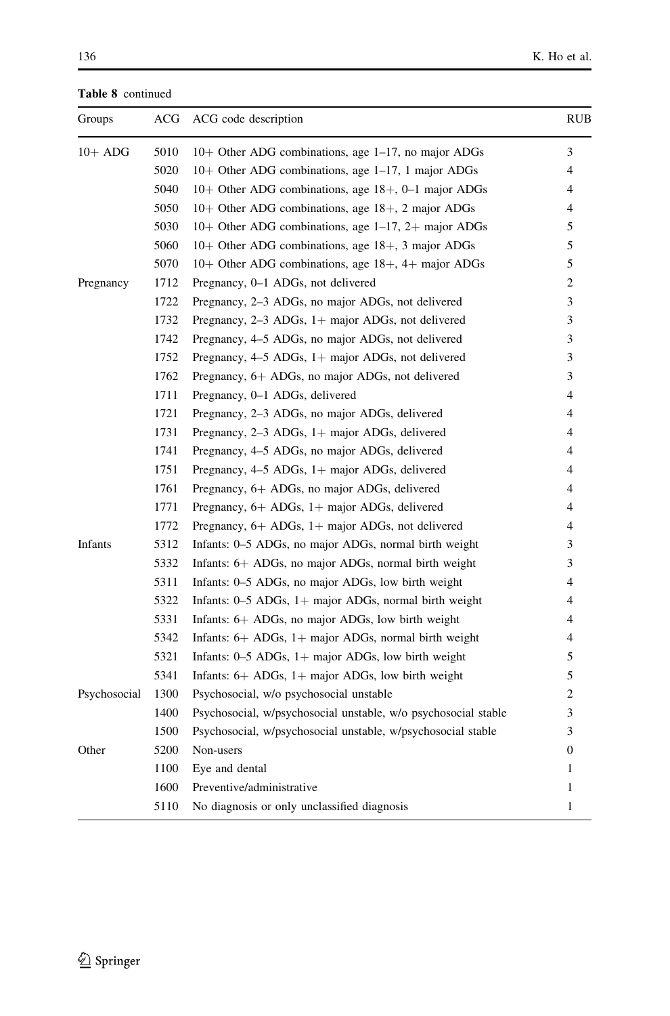| Groups       | ACG  | ACG code description                                           | <b>RUB</b>     |
|--------------|------|----------------------------------------------------------------|----------------|
| $10+$ ADG    | 5010 | $10+$ Other ADG combinations, age 1–17, no major ADGs          | 3              |
|              | 5020 | $10+$ Other ADG combinations, age $1-17$ , 1 major ADGs        | 4              |
|              | 5040 | $10+$ Other ADG combinations, age $18+$ , 0–1 major ADGs       | 4              |
|              | 5050 | 10+ Other ADG combinations, age 18+, 2 major ADGs              | 4              |
|              | 5030 | 10+ Other ADG combinations, age $1-17$ , $2+$ major ADGs       | 5              |
|              | 5060 | $10+$ Other ADG combinations, age $18+$ , 3 major ADGs         | 5              |
|              | 5070 | $10+$ Other ADG combinations, age $18+$ , 4+ major ADGs        | 5              |
| Pregnancy    | 1712 | Pregnancy, 0–1 ADGs, not delivered                             | $\overline{c}$ |
|              | 1722 | Pregnancy, 2–3 ADGs, no major ADGs, not delivered              | 3              |
|              | 1732 | Pregnancy, $2-3$ ADGs, $1+$ major ADGs, not delivered          | 3              |
|              | 1742 | Pregnancy, 4–5 ADGs, no major ADGs, not delivered              | 3              |
|              | 1752 | Pregnancy, $4-5$ ADGs, $1+$ major ADGs, not delivered          | 3              |
|              | 1762 | Pregnancy, 6+ ADGs, no major ADGs, not delivered               | 3              |
|              | 1711 | Pregnancy, 0–1 ADGs, delivered                                 | 4              |
|              | 1721 | Pregnancy, 2–3 ADGs, no major ADGs, delivered                  | 4              |
|              | 1731 | Pregnancy, $2-3$ ADGs, $1+$ major ADGs, delivered              | 4              |
|              | 1741 | Pregnancy, 4–5 ADGs, no major ADGs, delivered                  | 4              |
|              | 1751 | Pregnancy, $4-5$ ADGs, $1+$ major ADGs, delivered              | 4              |
|              | 1761 | Pregnancy, 6+ ADGs, no major ADGs, delivered                   | 4              |
|              | 1771 | Pregnancy, $6+$ ADGs, $1+$ major ADGs, delivered               | 4              |
|              | 1772 | Pregnancy, $6+$ ADGs, $1+$ major ADGs, not delivered           | 4              |
| Infants      | 5312 | Infants: 0–5 ADGs, no major ADGs, normal birth weight          | 3              |
|              | 5332 | Infants: $6+$ ADGs, no major ADGs, normal birth weight         | 3              |
|              | 5311 | Infants: 0–5 ADGs, no major ADGs, low birth weight             | 4              |
|              | 5322 | Infants: $0-5$ ADGs, $1+$ major ADGs, normal birth weight      | 4              |
|              | 5331 | Infants: $6+$ ADGs, no major ADGs, low birth weight            | 4              |
|              | 5342 | Infants: $6+$ ADGs, $1+$ major ADGs, normal birth weight       | 4              |
|              | 5321 | Infants: $0-5$ ADGs, $1+$ major ADGs, low birth weight         | 5              |
|              | 5341 | Infants: $6+$ ADGs, $1+$ major ADGs, low birth weight          | 5              |
| Psychosocial | 1300 | Psychosocial, w/o psychosocial unstable                        | $\overline{c}$ |
|              | 1400 | Psychosocial, w/psychosocial unstable, w/o psychosocial stable | 3              |
|              | 1500 | Psychosocial, w/psychosocial unstable, w/psychosocial stable   | 3              |
| Other        | 5200 | Non-users                                                      | 0              |
|              | 1100 | Eye and dental                                                 | 1              |
|              | 1600 | Preventive/administrative                                      | $\mathbf{1}$   |
|              | 5110 | No diagnosis or only unclassified diagnosis                    | $\mathbf{1}$   |